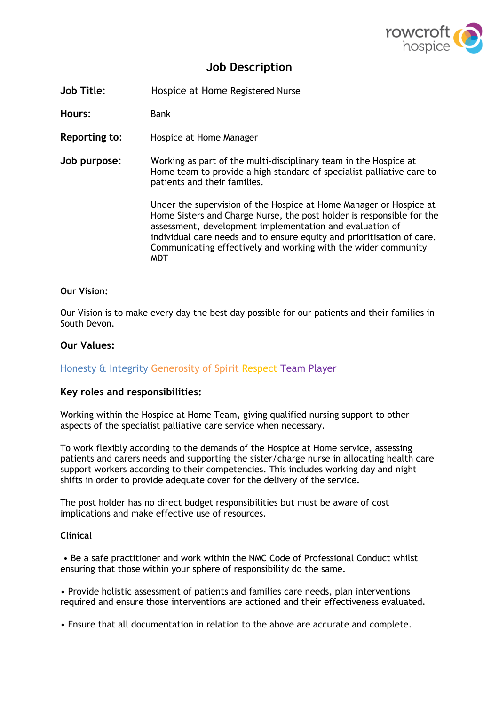

# **Job Description**

**Job Title:** Hospice at Home Registered Nurse

**Hours**: Bank

**Reporting to**: Hospice at Home Manager

**Job purpose**: Working as part of the multi-disciplinary team in the Hospice at Home team to provide a high standard of specialist palliative care to patients and their families.

> Under the supervision of the Hospice at Home Manager or Hospice at Home Sisters and Charge Nurse, the post holder is responsible for the assessment, development implementation and evaluation of individual care needs and to ensure equity and prioritisation of care. Communicating effectively and working with the wider community MDT

## **Our Vision:**

Our Vision is to make every day the best day possible for our patients and their families in South Devon.

# **Our Values:**

# Honesty & Integrity Generosity of Spirit Respect Team Player

# **Key roles and responsibilities:**

Working within the Hospice at Home Team, giving qualified nursing support to other aspects of the specialist palliative care service when necessary.

To work flexibly according to the demands of the Hospice at Home service, assessing patients and carers needs and supporting the sister/charge nurse in allocating health care support workers according to their competencies. This includes working day and night shifts in order to provide adequate cover for the delivery of the service.

The post holder has no direct budget responsibilities but must be aware of cost implications and make effective use of resources.

## **Clinical**

• Be a safe practitioner and work within the NMC Code of Professional Conduct whilst ensuring that those within your sphere of responsibility do the same.

• Provide holistic assessment of patients and families care needs, plan interventions required and ensure those interventions are actioned and their effectiveness evaluated.

• Ensure that all documentation in relation to the above are accurate and complete.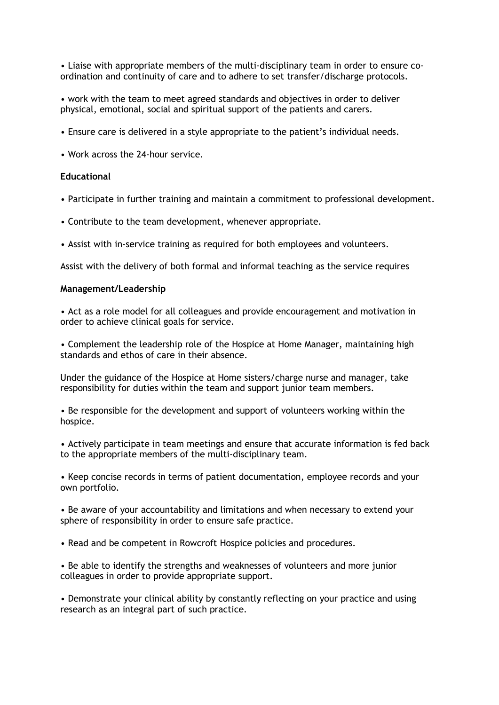• Liaise with appropriate members of the multi-disciplinary team in order to ensure coordination and continuity of care and to adhere to set transfer/discharge protocols.

• work with the team to meet agreed standards and objectives in order to deliver physical, emotional, social and spiritual support of the patients and carers.

- Ensure care is delivered in a style appropriate to the patient's individual needs.
- Work across the 24-hour service.

#### **Educational**

- Participate in further training and maintain a commitment to professional development.
- Contribute to the team development, whenever appropriate.
- Assist with in-service training as required for both employees and volunteers.

Assist with the delivery of both formal and informal teaching as the service requires

#### **Management/Leadership**

• Act as a role model for all colleagues and provide encouragement and motivation in order to achieve clinical goals for service.

• Complement the leadership role of the Hospice at Home Manager, maintaining high standards and ethos of care in their absence.

Under the guidance of the Hospice at Home sisters/charge nurse and manager, take responsibility for duties within the team and support junior team members.

• Be responsible for the development and support of volunteers working within the hospice.

• Actively participate in team meetings and ensure that accurate information is fed back to the appropriate members of the multi-disciplinary team.

• Keep concise records in terms of patient documentation, employee records and your own portfolio.

• Be aware of your accountability and limitations and when necessary to extend your sphere of responsibility in order to ensure safe practice.

• Read and be competent in Rowcroft Hospice policies and procedures.

• Be able to identify the strengths and weaknesses of volunteers and more junior colleagues in order to provide appropriate support.

• Demonstrate your clinical ability by constantly reflecting on your practice and using research as an integral part of such practice.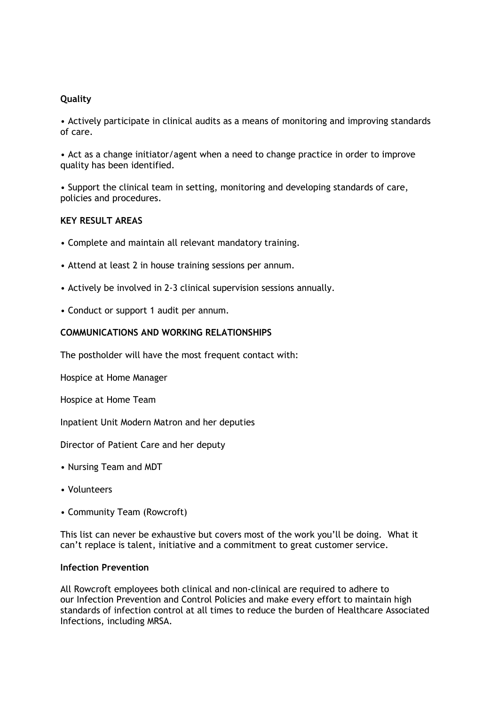# **Quality**

• Actively participate in clinical audits as a means of monitoring and improving standards of care.

• Act as a change initiator/agent when a need to change practice in order to improve quality has been identified.

• Support the clinical team in setting, monitoring and developing standards of care, policies and procedures.

## **KEY RESULT AREAS**

- Complete and maintain all relevant mandatory training.
- Attend at least 2 in house training sessions per annum.
- Actively be involved in 2-3 clinical supervision sessions annually.
- Conduct or support 1 audit per annum.

## **COMMUNICATIONS AND WORKING RELATIONSHIPS**

The postholder will have the most frequent contact with:

Hospice at Home Manager

Hospice at Home Team

Inpatient Unit Modern Matron and her deputies

Director of Patient Care and her deputy

- Nursing Team and MDT
- Volunteers
- Community Team (Rowcroft)

This list can never be exhaustive but covers most of the work you'll be doing. What it can't replace is talent, initiative and a commitment to great customer service.

# **Infection Prevention**

All Rowcroft employees both clinical and non-clinical are required to adhere to our Infection Prevention and Control Policies and make every effort to maintain high standards of infection control at all times to reduce the burden of Healthcare Associated Infections, including MRSA.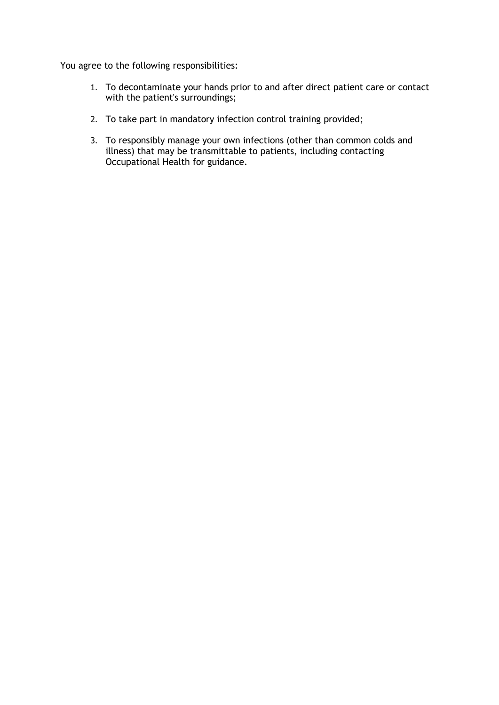You agree to the following responsibilities:

- 1. To decontaminate your hands prior to and after direct patient care or contact with the patient's surroundings;
- 2. To take part in mandatory infection control training provided;
- 3. To responsibly manage your own infections (other than common colds and illness) that may be transmittable to patients, including contacting Occupational Health for guidance.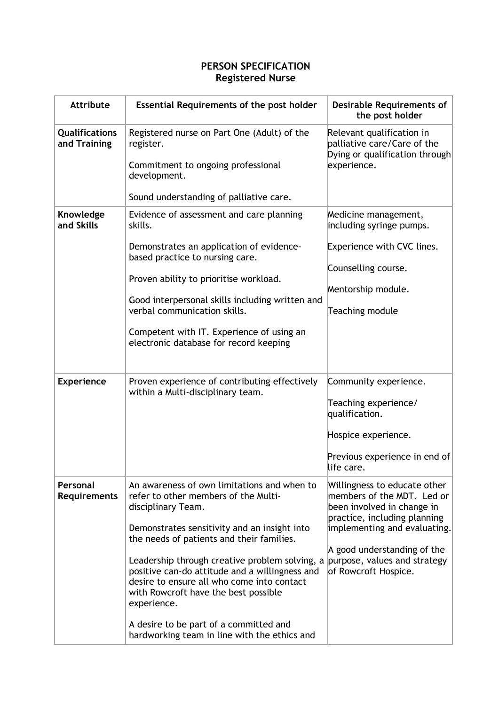# **PERSON SPECIFICATION Registered Nurse**

| <b>Attribute</b>                | <b>Essential Requirements of the post holder</b>                                                                                                                                                                                                                                                                                                                                                                                                                                                                                       | <b>Desirable Requirements of</b><br>the post holder                                                                                                                                                             |
|---------------------------------|----------------------------------------------------------------------------------------------------------------------------------------------------------------------------------------------------------------------------------------------------------------------------------------------------------------------------------------------------------------------------------------------------------------------------------------------------------------------------------------------------------------------------------------|-----------------------------------------------------------------------------------------------------------------------------------------------------------------------------------------------------------------|
| Qualifications<br>and Training  | Registered nurse on Part One (Adult) of the<br>register.<br>Commitment to ongoing professional<br>development.                                                                                                                                                                                                                                                                                                                                                                                                                         | Relevant qualification in<br>palliative care/Care of the<br>Dying or qualification through<br>experience.                                                                                                       |
|                                 | Sound understanding of palliative care.                                                                                                                                                                                                                                                                                                                                                                                                                                                                                                |                                                                                                                                                                                                                 |
| Knowledge<br>and Skills         | Evidence of assessment and care planning<br>skills.<br>Demonstrates an application of evidence-<br>based practice to nursing care.                                                                                                                                                                                                                                                                                                                                                                                                     | Medicine management,<br>including syringe pumps.<br>Experience with CVC lines.                                                                                                                                  |
|                                 | Proven ability to prioritise workload.<br>Good interpersonal skills including written and<br>verbal communication skills.<br>Competent with IT. Experience of using an<br>electronic database for record keeping                                                                                                                                                                                                                                                                                                                       | Counselling course.<br>Mentorship module.<br>Teaching module                                                                                                                                                    |
| <b>Experience</b>               | Proven experience of contributing effectively<br>within a Multi-disciplinary team.                                                                                                                                                                                                                                                                                                                                                                                                                                                     | Community experience.<br>Teaching experience/<br>qualification.<br>Hospice experience.<br>Previous experience in end of<br>life care.                                                                           |
| Personal<br><b>Requirements</b> | An awareness of own limitations and when to<br>refer to other members of the Multi-<br>disciplinary Team.<br>Demonstrates sensitivity and an insight into<br>the needs of patients and their families.<br>Leadership through creative problem solving, a purpose, values and strategy<br>positive can-do attitude and a willingness and<br>desire to ensure all who come into contact<br>with Rowcroft have the best possible<br>experience.<br>A desire to be part of a committed and<br>hardworking team in line with the ethics and | Willingness to educate other<br>members of the MDT. Led or<br>been involved in change in<br>practice, including planning<br>implementing and evaluating.<br>A good understanding of the<br>of Rowcroft Hospice. |